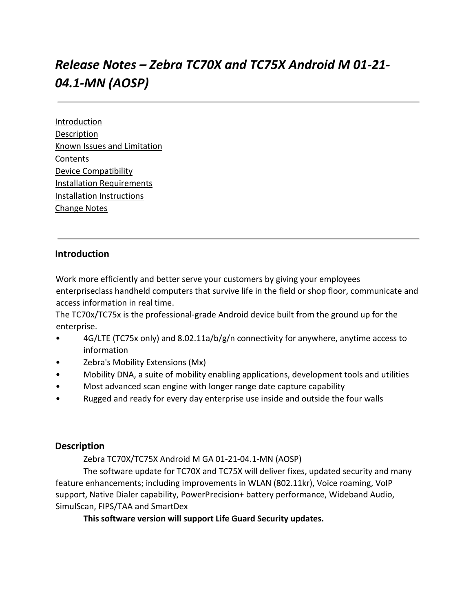# *Release Notes – Zebra TC70X and TC75X Android M 01-21- 04.1-MN (AOSP)*

**[Introduction](#page-0-0) [Description](#page-0-1)** [Known Issues and Limitation](#page-1-0) [Contents](#page-1-1) [Device Compatibility](#page-3-0) [Installation Requirements](#page-3-1) [Installation Instructions](#page-4-0) [Change Notes](#page-7-0)

## <span id="page-0-0"></span>**Introduction**

Work more efficiently and better serve your customers by giving your employees enterpriseclass handheld computers that survive life in the field or shop floor, communicate and access information in real time.

The TC70x/TC75x is the professional-grade Android device built from the ground up for the enterprise.

- 4G/LTE (TC75x only) and 8.02.11a/b/g/n connectivity for anywhere, anytime access to information
- Zebra's Mobility Extensions (Mx)
- Mobility DNA, a suite of mobility enabling applications, development tools and utilities
- Most advanced scan engine with longer range date capture capability
- Rugged and ready for every day enterprise use inside and outside the four walls

#### <span id="page-0-1"></span>**Description**

Zebra TC70X/TC75X Android M GA 01-21-04.1-MN (AOSP)

The software update for TC70X and TC75X will deliver fixes, updated security and many feature enhancements; including improvements in WLAN (802.11kr), Voice roaming, VoIP support, Native Dialer capability, PowerPrecision+ battery performance, Wideband Audio, SimulScan, FIPS/TAA and SmartDex

**This software version will support Life Guard Security updates.**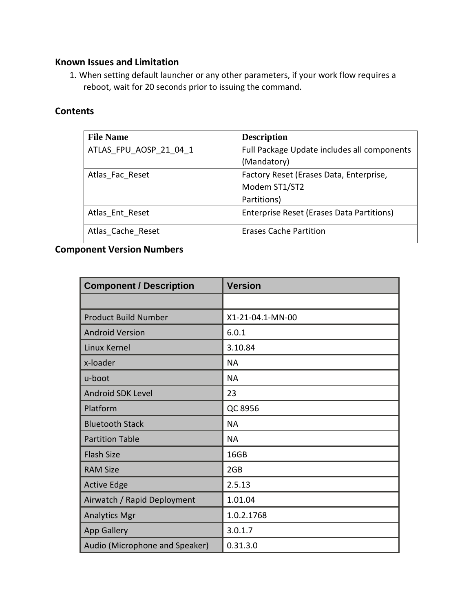## <span id="page-1-0"></span>**Known Issues and Limitation**

1. When setting default launcher or any other parameters, if your work flow requires a reboot, wait for 20 seconds prior to issuing the command.

## <span id="page-1-1"></span>**Contents**

| <b>File Name</b>       | <b>Description</b>                          |
|------------------------|---------------------------------------------|
| ATLAS FPU AOSP 21 04 1 | Full Package Update includes all components |
|                        | (Mandatory)                                 |
| Atlas Fac Reset        | Factory Reset (Erases Data, Enterprise,     |
|                        | Modem ST1/ST2                               |
|                        | Partitions)                                 |
| Atlas Ent Reset        | Enterprise Reset (Erases Data Partitions)   |
| Atlas Cache Reset      | <b>Erases Cache Partition</b>               |

## **Component Version Numbers**

| <b>Component / Description</b> | <b>Version</b>   |
|--------------------------------|------------------|
|                                |                  |
| <b>Product Build Number</b>    | X1-21-04.1-MN-00 |
| <b>Android Version</b>         | 6.0.1            |
| <b>Linux Kernel</b>            | 3.10.84          |
| x-loader                       | <b>NA</b>        |
| u-boot                         | <b>NA</b>        |
| <b>Android SDK Level</b>       | 23               |
| Platform                       | QC 8956          |
| <b>Bluetooth Stack</b>         | <b>NA</b>        |
| <b>Partition Table</b>         | <b>NA</b>        |
| <b>Flash Size</b>              | 16GB             |
| <b>RAM Size</b>                | 2GB              |
| <b>Active Edge</b>             | 2.5.13           |
| Airwatch / Rapid Deployment    | 1.01.04          |
| <b>Analytics Mgr</b>           | 1.0.2.1768       |
| <b>App Gallery</b>             | 3.0.1.7          |
| Audio (Microphone and Speaker) | 0.31.3.0         |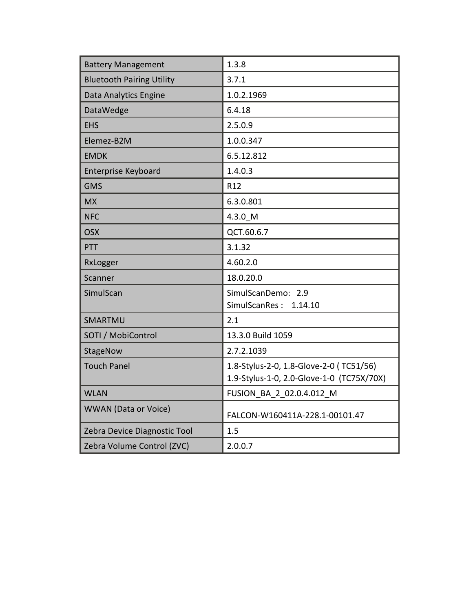| <b>Battery Management</b>        | 1.3.8                                     |
|----------------------------------|-------------------------------------------|
| <b>Bluetooth Pairing Utility</b> | 3.7.1                                     |
| Data Analytics Engine            | 1.0.2.1969                                |
| DataWedge                        | 6.4.18                                    |
| <b>EHS</b>                       | 2.5.0.9                                   |
| Elemez-B2M                       | 1.0.0.347                                 |
| <b>EMDK</b>                      | 6.5.12.812                                |
| <b>Enterprise Keyboard</b>       | 1.4.0.3                                   |
| <b>GMS</b>                       | R12                                       |
| <b>MX</b>                        | 6.3.0.801                                 |
| <b>NFC</b>                       | 4.3.0 M                                   |
| <b>OSX</b>                       | QCT.60.6.7                                |
| PTT                              | 3.1.32                                    |
|                                  |                                           |
| RxLogger                         | 4.60.2.0                                  |
| Scanner                          | 18.0.20.0                                 |
| SimulScan                        | SimulScanDemo: 2.9                        |
|                                  | SimulScanRes:<br>1.14.10                  |
| SMARTMU                          | 2.1                                       |
| SOTI / MobiControl               | 13.3.0 Build 1059                         |
| StageNow                         | 2.7.2.1039                                |
| <b>Touch Panel</b>               | 1.8-Stylus-2-0, 1.8-Glove-2-0 (TC51/56)   |
|                                  | 1.9-Stylus-1-0, 2.0-Glove-1-0 (TC75X/70X) |
| <b>WLAN</b>                      | FUSION_BA_2_02.0.4.012_M                  |
| <b>WWAN</b> (Data or Voice)      | FALCON-W160411A-228.1-00101.47            |
| Zebra Device Diagnostic Tool     | 1.5                                       |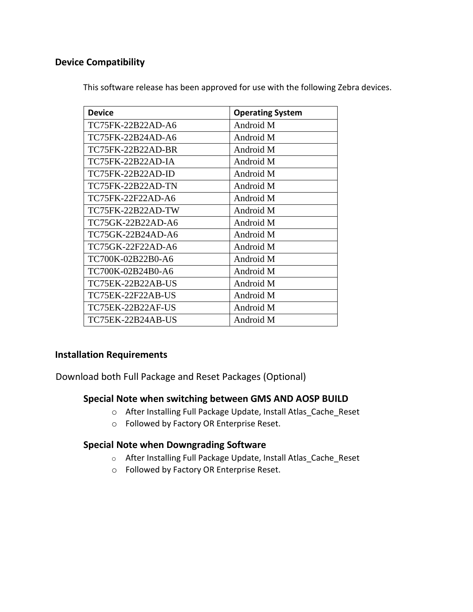## <span id="page-3-0"></span>**Device Compatibility**

| <b>Device</b>            | <b>Operating System</b> |
|--------------------------|-------------------------|
| TC75FK-22B22AD-A6        | Android M               |
| TC75FK-22B24AD-A6        | Android M               |
| <b>TC75FK-22B22AD-BR</b> | Android M               |
| TC75FK-22B22AD-IA        | Android M               |
| TC75FK-22B22AD-ID        | Android M               |
| <b>TC75FK-22B22AD-TN</b> | Android M               |
| TC75FK-22F22AD-A6        | Android M               |
| TC75FK-22B22AD-TW        | Android M               |
| TC75GK-22B22AD-A6        | Android M               |
| TC75GK-22B24AD-A6        | Android M               |
| TC75GK-22F22AD-A6        | Android M               |
| TC700K-02B22B0-A6        | Android M               |
| TC700K-02B24B0-A6        | Android M               |
| <b>TC75EK-22B22AB-US</b> | Android M               |
| TC75EK-22F22AB-US        | Android M               |
| <b>TC75EK-22B22AF-US</b> | Android M               |
| TC75EK-22B24AB-US        | Android M               |

This software release has been approved for use with the following Zebra devices.

## <span id="page-3-1"></span>**Installation Requirements**

Download both Full Package and Reset Packages (Optional)

#### **Special Note when switching between GMS AND AOSP BUILD**

- o After Installing Full Package Update, Install Atlas\_Cache\_Reset
- o Followed by Factory OR Enterprise Reset.

#### **Special Note when Downgrading Software**

- o After Installing Full Package Update, Install Atlas\_Cache\_Reset
- o Followed by Factory OR Enterprise Reset.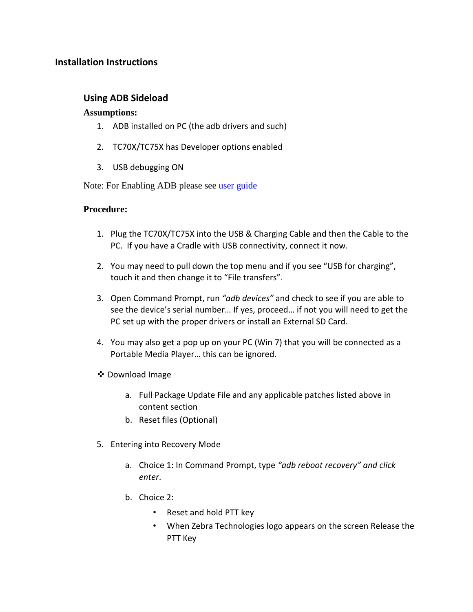## <span id="page-4-0"></span>**Installation Instructions**

## **Using ADB Sideload**

#### **Assumptions:**

- 1. ADB installed on PC (the adb drivers and such)
- 2. TC70X/TC75X has Developer options enabled
- 3. USB debugging ON

Note: For Enabling ADB please see [user guide](https://www.zebra.com/apps/dlmanager?dlp=-227178c9720c025483893483886ea540bd07dd0f9873752cf891686eb4950400add13410300d57b7e36119af26c348bbe651f7b5315f7bbfa1ca9aa9bfaa1e6272b59e5d9cbcd10dac34d5d1fb67b14746caaf49c506ab4&c=us&l=en)

#### **Procedure:**

- 1. Plug the TC70X/TC75X into the USB & Charging Cable and then the Cable to the PC. If you have a Cradle with USB connectivity, connect it now.
- 2. You may need to pull down the top menu and if you see "USB for charging", touch it and then change it to "File transfers".
- 3. Open Command Prompt, run *"adb devices"* and check to see if you are able to see the device's serial number… If yes, proceed… if not you will need to get the PC set up with the proper drivers or install an External SD Card.
- 4. You may also get a pop up on your PC (Win 7) that you will be connected as a Portable Media Player… this can be ignored.
- ❖ Download Image
	- a. Full Package Update File and any applicable patches listed above in content section
	- b. Reset files (Optional)
- 5. Entering into Recovery Mode
	- a. Choice 1: In Command Prompt, type *"adb reboot recovery" and click enter*.
	- b. Choice 2:
		- Reset and hold PTT key
		- When Zebra Technologies logo appears on the screen Release the PTT Key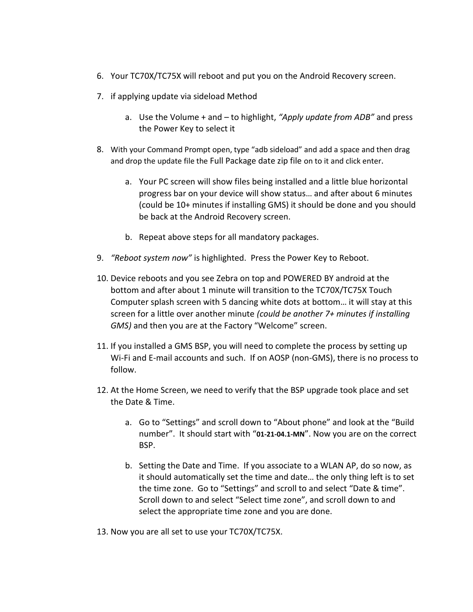- 6. Your TC70X/TC75X will reboot and put you on the Android Recovery screen.
- 7. if applying update via sideload Method
	- a. Use the Volume + and to highlight, *"Apply update from ADB"* and press the Power Key to select it
- 8. With your Command Prompt open, type "adb sideload" and add a space and then drag and drop the update file the Full Package date zip file on to it and click enter.
	- a. Your PC screen will show files being installed and a little blue horizontal progress bar on your device will show status… and after about 6 minutes (could be 10+ minutes if installing GMS) it should be done and you should be back at the Android Recovery screen.
	- b. Repeat above steps for all mandatory packages.
- 9. *"Reboot system now"* is highlighted. Press the Power Key to Reboot.
- 10. Device reboots and you see Zebra on top and POWERED BY android at the bottom and after about 1 minute will transition to the TC70X/TC75X Touch Computer splash screen with 5 dancing white dots at bottom… it will stay at this screen for a little over another minute *(could be another 7+ minutes if installing GMS)* and then you are at the Factory "Welcome" screen.
- 11. If you installed a GMS BSP, you will need to complete the process by setting up Wi-Fi and E-mail accounts and such. If on AOSP (non-GMS), there is no process to follow.
- 12. At the Home Screen, we need to verify that the BSP upgrade took place and set the Date & Time.
	- a. Go to "Settings" and scroll down to "About phone" and look at the "Build number". It should start with "**01-21-04.1-MN**". Now you are on the correct BSP.
	- b. Setting the Date and Time. If you associate to a WLAN AP, do so now, as it should automatically set the time and date… the only thing left is to set the time zone. Go to "Settings" and scroll to and select "Date & time". Scroll down to and select "Select time zone", and scroll down to and select the appropriate time zone and you are done.
- 13. Now you are all set to use your TC70X/TC75X.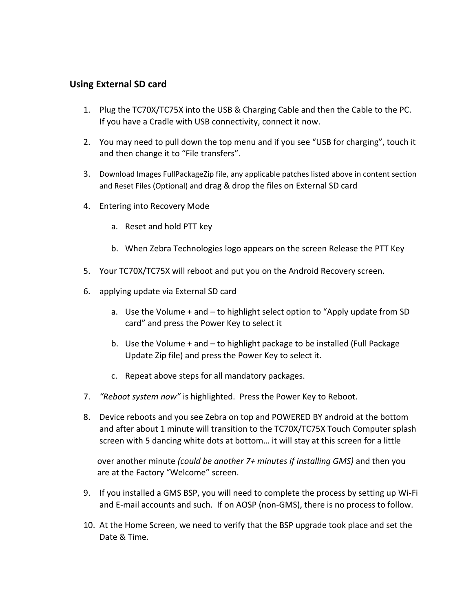## **Using External SD card**

- 1. Plug the TC70X/TC75X into the USB & Charging Cable and then the Cable to the PC. If you have a Cradle with USB connectivity, connect it now.
- 2. You may need to pull down the top menu and if you see "USB for charging", touch it and then change it to "File transfers".
- 3. Download Images FullPackageZip file, any applicable patches listed above in content section and Reset Files (Optional) and drag & drop the files on External SD card
- 4. Entering into Recovery Mode
	- a. Reset and hold PTT key
	- b. When Zebra Technologies logo appears on the screen Release the PTT Key
- 5. Your TC70X/TC75X will reboot and put you on the Android Recovery screen.
- 6. applying update via External SD card
	- a. Use the Volume + and to highlight select option to "Apply update from SD card" and press the Power Key to select it
	- b. Use the Volume + and to highlight package to be installed (Full Package Update Zip file) and press the Power Key to select it.
	- c. Repeat above steps for all mandatory packages.
- 7. *"Reboot system now"* is highlighted. Press the Power Key to Reboot.
- 8. Device reboots and you see Zebra on top and POWERED BY android at the bottom and after about 1 minute will transition to the TC70X/TC75X Touch Computer splash screen with 5 dancing white dots at bottom… it will stay at this screen for a little

over another minute *(could be another 7+ minutes if installing GMS)* and then you are at the Factory "Welcome" screen.

- 9. If you installed a GMS BSP, you will need to complete the process by setting up Wi-Fi and E-mail accounts and such. If on AOSP (non-GMS), there is no process to follow.
- 10. At the Home Screen, we need to verify that the BSP upgrade took place and set the Date & Time.